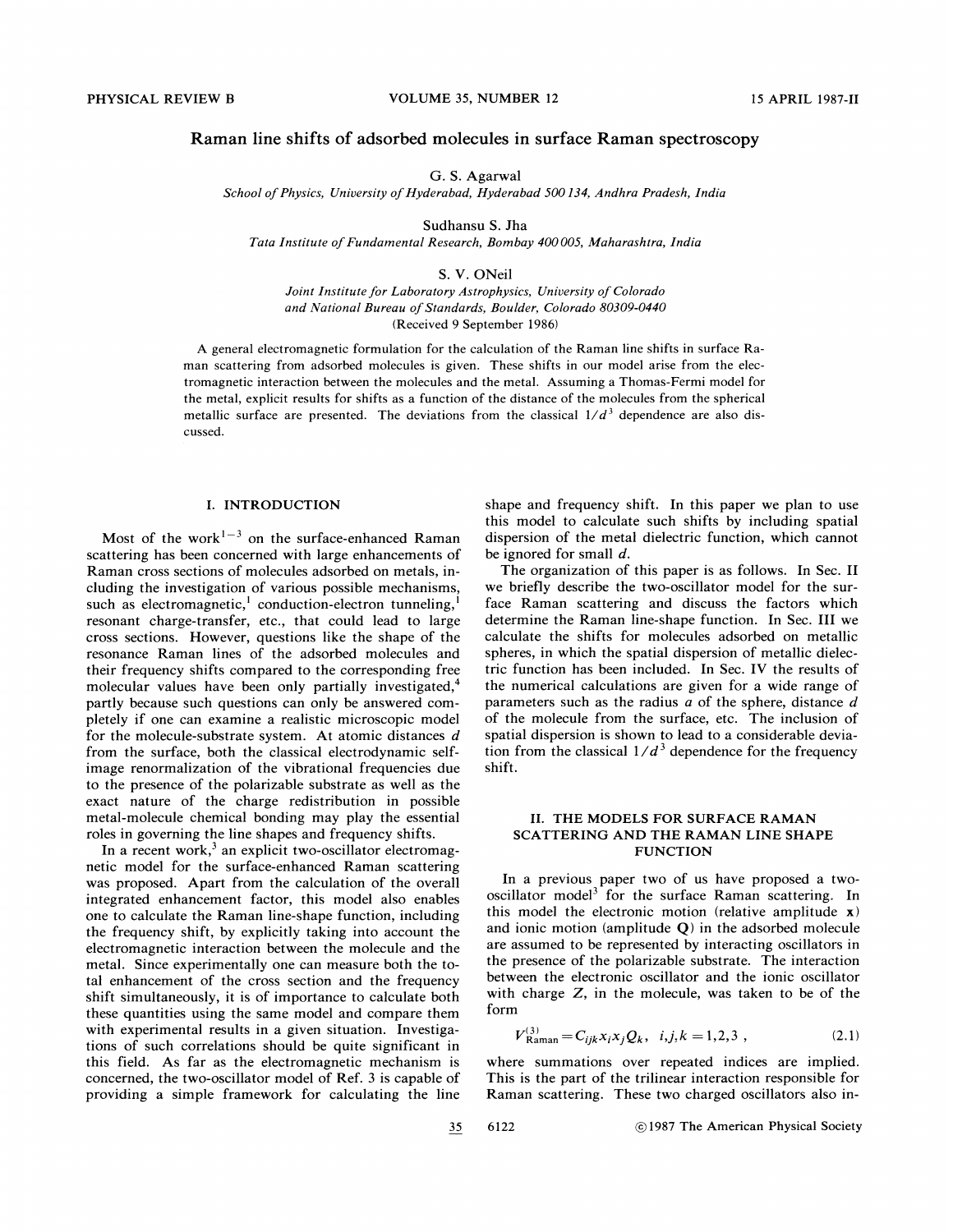# Raman line shifts of adsorbed molecules in surface Raman spectroscopy

G. S. Agarwal

School of Physics, University of Hyderabad, Hyderabad 500134, Andhra Pradesh, India

Sudhansu S.Jha

Tata Institute of Fundamental Research, Bombay 400 005, Maharashtra, India

## S. V. ONeil

Joint Institute for Laboratory Astrophysics, University of Colorado and National Bureau of Standards, Boulder, Colorado 80309-0440 (Received 9 September 1986)

A general electromagnetic formulation for the calculation of the Raman line shifts in surface Raman scattering from adsorbed molecules is given. These shifts in our model arise from the electromagnetic interaction between the molecules and the metal. Assuming a Thomas-Fermi model for the metal, explicit results for shifts as a function of the distance of the molecules from the spherical metallic surface are presented. The deviations from the classical  $1/d<sup>3</sup>$  dependence are also discussed.

### I. INTRODUCTION

Most of the work<sup> $1-3$ </sup> on the surface-enhanced Raman scattering has been concerned with large enhancements of Raman cross sections of molecules adsorbed on metals, including the investigation of various possible mechanisms, such as electromagnetic,<sup>1</sup> conduction-electron tunneling,<sup>1</sup> resonant charge-transfer, etc., that could lead to large cross sections. However, questions like the shape of the resonance Raman lines of the adsorbed molecules and their frequency shifts compared to the corresponding free molecular values have been only partially investigated,<sup>4</sup> partly because such questions can only be answered completely if one can examine a realistic microscopic model for the molecule-substrate system. At atomic distances d from the surface, both the classical electrodynamic selfimage renormalization of the vibrational frequencies due to the presence of the polarizable substrate as well as the exact nature of the charge redistribution in possible metal-molecule chemical bonding may play the essential roles in governing the line shapes and frequency shifts.

In a recent work, $3$  an explicit two-oscillator electromagnetic model for the surface-enhanced Raman scattering was proposed. Apart from the calculation of the overall integrated enhancement factor, this model also enables one to calculate the Raman line-shape function, including the frequency shift, by explicitly taking into account the electromagnetic interaction between the molecule and the metal. Since experimentally one can measure both the total enhancement of the cross section and the frequency shift simultaneously, it is of importance to calculate both these quantities using the same model and compare them with experimental results in a given situation. Investigations of such correlations should be quite significant in this field. As far as the electromagnetic mechanism is concerned, the two-oscillator model of Ref. 3 is capable of providing a simple framework for calculating the line

shape and frequency shift. In this paper we plan to use this model to calculate such shifts by including spatial dispersion of the metal dielectric function, which cannot be ignored for small d.

The organization of this paper is as follows. In Sec. II we briefly describe the two-oscillator model for the surface Raman scattering and discuss the factors which determine the Raman line-shape function. In Sec. III we calculate the shifts for molecules adsorbed on metallic spheres, in which the spatial dispersion of metallic dielectric function has been included. In Sec. IV the results of the numerical calculations are given for a wide range of parameters such as the radius  $a$  of the sphere, distance  $d$ of the molecule from the surface, etc. The inclusion of spatial dispersion is shown to lead to a considerable deviation from the classical  $1/d<sup>3</sup>$  dependence for the frequency shift.

#### II. THE MODELS FOR SURFACE RAMAN SCATTERING AND THE RAMAN LINE SHAPE FUNCTION

In a previous paper two of us have proposed a twooscillator model<sup>3</sup> for the surface Raman scattering. In this model the electronic motion (relative amplitude x) and ionic motion (amplitude Q) in the adsorbed molecule are assumed to be represented by interacting oscillators in the presence of the polarizable substrate. The interaction between the electronic oscillator and the ionic oscillator with charge Z, in the molecule, was taken to be of the form

$$
V_{\text{Raman}}^{(3)} = C_{ijk} x_i x_j Q_k, \quad i, j, k = 1, 2, 3 \tag{2.1}
$$

where summations over repeated indices are implied. This is the part of the trilinear interaction responsible for Raman scattering. These two charged oscillators also in-

35 6122 © 1987 The American Physical Society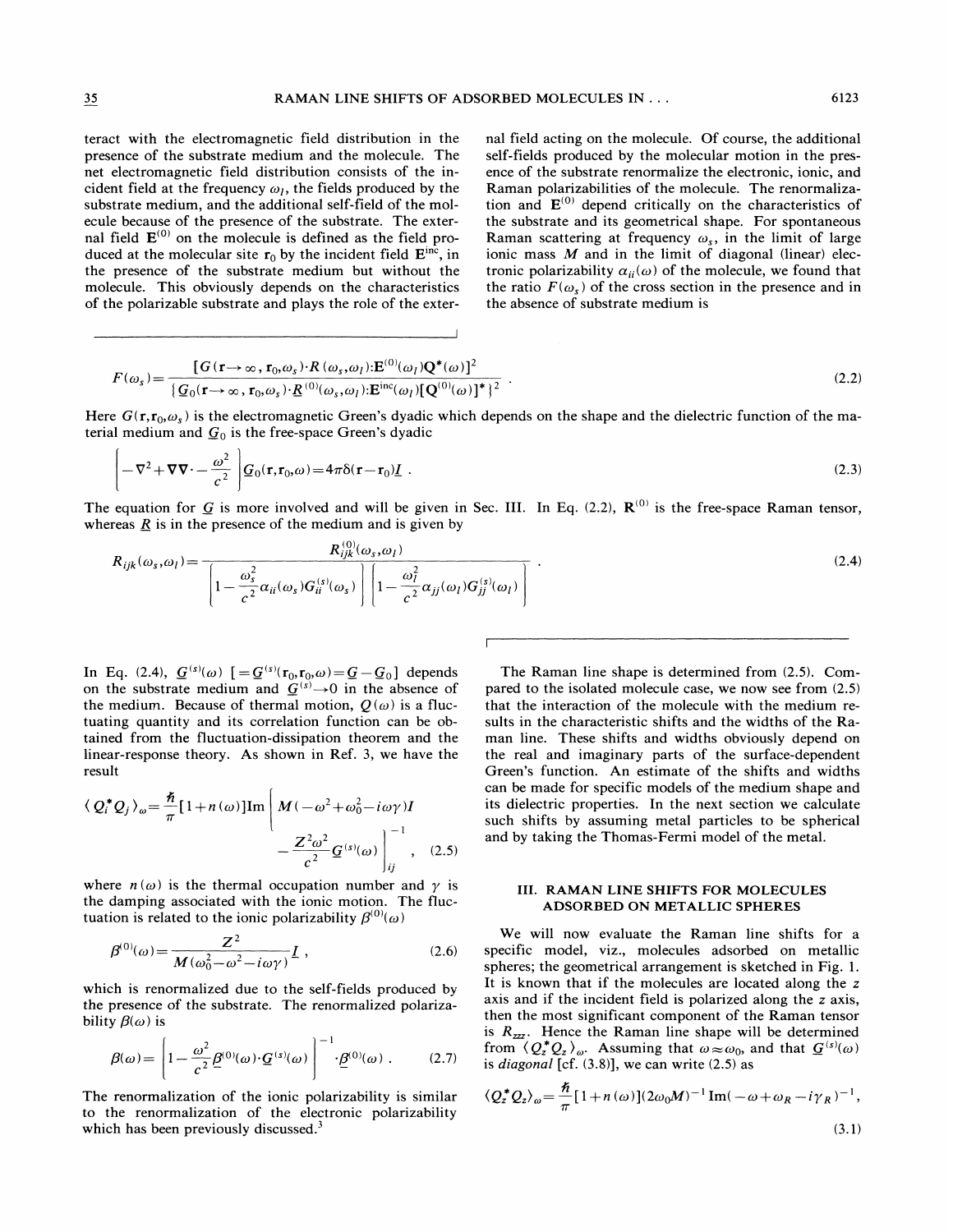teract with the electromagnetic field distribution in the presence of the substrate medium and the molecule. The net electromagnetic field distribution consists of the incident field at the frequency  $\omega_l$ , the fields produced by the substrate medium, and the additional self-field of the molecule because of the presence of the substrate. The external field  $\mathbf{E}^{(0)}$  on the molecule is defined as the field produced at the molecular site  $r_0$  by the incident field  $E^{inc}$ , in the presence of the substrate medium but without the molecule. This obviously depends on the characteristics of the polarizable substrate and plays the role of the external field acting on the molecule. Of course, the additional self-fields produced by the molecular motion in the presence of the substrate renormalize the electronic, ionic, and Raman polarizabilities of the molecule. The renormalizaion and  $\mathbf{E}^{(0)}$  depend critically on the characteristics of the substrate and its geometrical shape. For spontaneous Raman scattering at frequency  $\omega_s$ , in the limit of large ionic mass  $M$  and in the limit of diagonal (linear) electronic polarizability  $\alpha_{ii}(\omega)$  of the molecule, we found that the ratio  $F(\omega_s)$  of the cross section in the presence and in the absence of substrate medium is

$$
F(\omega_s) = \frac{\left[G\left(\mathbf{r} \to \infty, \mathbf{r}_0, \omega_s\right) \cdot R\left(\omega_s, \omega_l\right) \cdot \mathbf{E}^{(0)}(\omega_l) \mathbf{Q}^*(\omega)\right]^2}{\left\{\mathbf{G}_0(\mathbf{r} \to \infty, \mathbf{r}_0, \omega_s) \cdot \mathbf{R}^{(0)}(\omega_s, \omega_l) \cdot \mathbf{E}^{\text{inc}}(\omega_l) \left[\mathbf{Q}^{(0)}(\omega)\right]^*\right\}^2} \tag{2.2}
$$

Here  $G(\mathbf{r}, \mathbf{r}_0, \omega_s)$  is the electromagnetic Green's dyadic which depends on the shape and the dielectric function of the material medium and  $\mathcal{G}_0$  is the free-space Green's dyadic

$$
\left(-\nabla^2 + \nabla \nabla \cdot -\frac{\omega^2}{c^2}\right) \mathcal{G}_0(\mathbf{r}, \mathbf{r}_0, \omega) = 4\pi \delta(\mathbf{r} - \mathbf{r}_0) \underline{I} \tag{2.3}
$$

The equation for  $G$  is more involved and will be given in Sec. III. In Eq. (2.2),  $\mathbb{R}^{(0)}$  is the free-space Raman tensor, whereas  $\underline{R}$  is in the presence of the medium and is given by

$$
R_{ijk}(\omega_s, \omega_l) = \frac{R_{ijk}^{(0)}(\omega_s, \omega_l)}{\left[1 - \frac{\omega_s^2}{c^2} \alpha_{ii}(\omega_s) G_{ii}^{(s)}(\omega_s)\right] \left[1 - \frac{\omega_l^2}{c^2} \alpha_{jj}(\omega_l) G_{jj}^{(s)}(\omega_l)\right]} \tag{2.4}
$$

In Eq. (2.4),  $G^{(s)}(\omega)$  [= $G^{(s)}(r_0, r_0, \omega) = G - G_0$ ] depends on the substrate medium and  $G^{(s)} \rightarrow 0$  in the absence of the medium. Because of thermal motion,  $Q(\omega)$  is a fluctuating quantity and its correlation function can be obtained from the fluctuation-dissipation theorem and the linear-response theory. As shown in Ref. 3, we have the result

$$
\langle Q_i^* Q_j \rangle_{\omega} = \frac{\hbar}{\pi} \left[ 1 + n(\omega) \right] \text{Im} \left[ M(-\omega^2 + \omega_0^2 - i\omega \gamma) I - \frac{Z^2 \omega^2}{c^2} \mathcal{G}^{(s)}(\omega) \right]_{ij}^{-1}, \quad (2.5)
$$

where  $n(\omega)$  is the thermal occupation number and  $\gamma$  is the damping associated with the ionic motion. The fluctuation is related to the ionic polarizability  $\beta^{(0)}(\omega)$ 

$$
\beta^{(0)}(\omega) = \frac{Z^2}{M(\omega_0^2 - \omega^2 - i\omega\gamma)} I,
$$
\n(2.6)

which is renormalized due to the self-fields produced by the presence of the substrate. The renormalized polarizability  $\beta(\omega)$  is

$$
\beta(\omega) = \left[1 - \frac{\omega^2}{c^2} \underline{\beta}^{(0)}(\omega) \cdot \underline{G}^{(s)}(\omega)\right]^{-1} \cdot \underline{\beta}^{(0)}(\omega) . \tag{2.7}
$$

The renormalization of the ionic polarizability is similar to the renormalization of the electronic polarizability which has been previously discussed. $\frac{3}{2}$ 

The Raman line shape is determined from (2.5). Compared to the isolated molecule case, we now see from (2.5) that the interaction of the molecule with the medium results in the characteristic shifts and the widths of the Raman line. These shifts and widths obviously depend on the real and imaginary parts of the surface-dependent Green's function. An estimate of the shifts and widths can be made for specific models of the medium shape and its dielectric properties. In the next section we calculate such shifts by assuming metal particles to be spherical and by taking the Thomas-Fermi model of the metal.

### III. RAMAN LINE SHIFTS FOR MOLECULES ADSORBED ON METALLIC SPHERES

We will now evaluate the Raman line shifts for a specific model, viz., molecules adsorbed on metallic spheres; the geometrical arrangement is sketched in Fig. 1. It is known that if the molecules are located along the z axis and if the incident field is polarized along the z axis, then the most significant component of the Raman tensor is  $R_{zzz}$ . Hence the Raman line shape will be determined from  $\langle Q_z^* Q_z \rangle_{\omega}$ . Assuming that  $\omega \approx \omega_0$ , and that  $Q^{(s)}(\omega)$ is *diagonal* [cf.  $(3.8)$ ], we can write  $(2.5)$  as

is diagonal [cf. (3.8)], we can write (2.5) as  
\n
$$
\langle Q_z^* Q_z \rangle_{\omega} = \frac{\hbar}{\pi} [1 + n(\omega)] (2\omega_0 M)^{-1} \text{Im}(-\omega + \omega_R - i\gamma_R)^{-1},
$$
\n(3.1)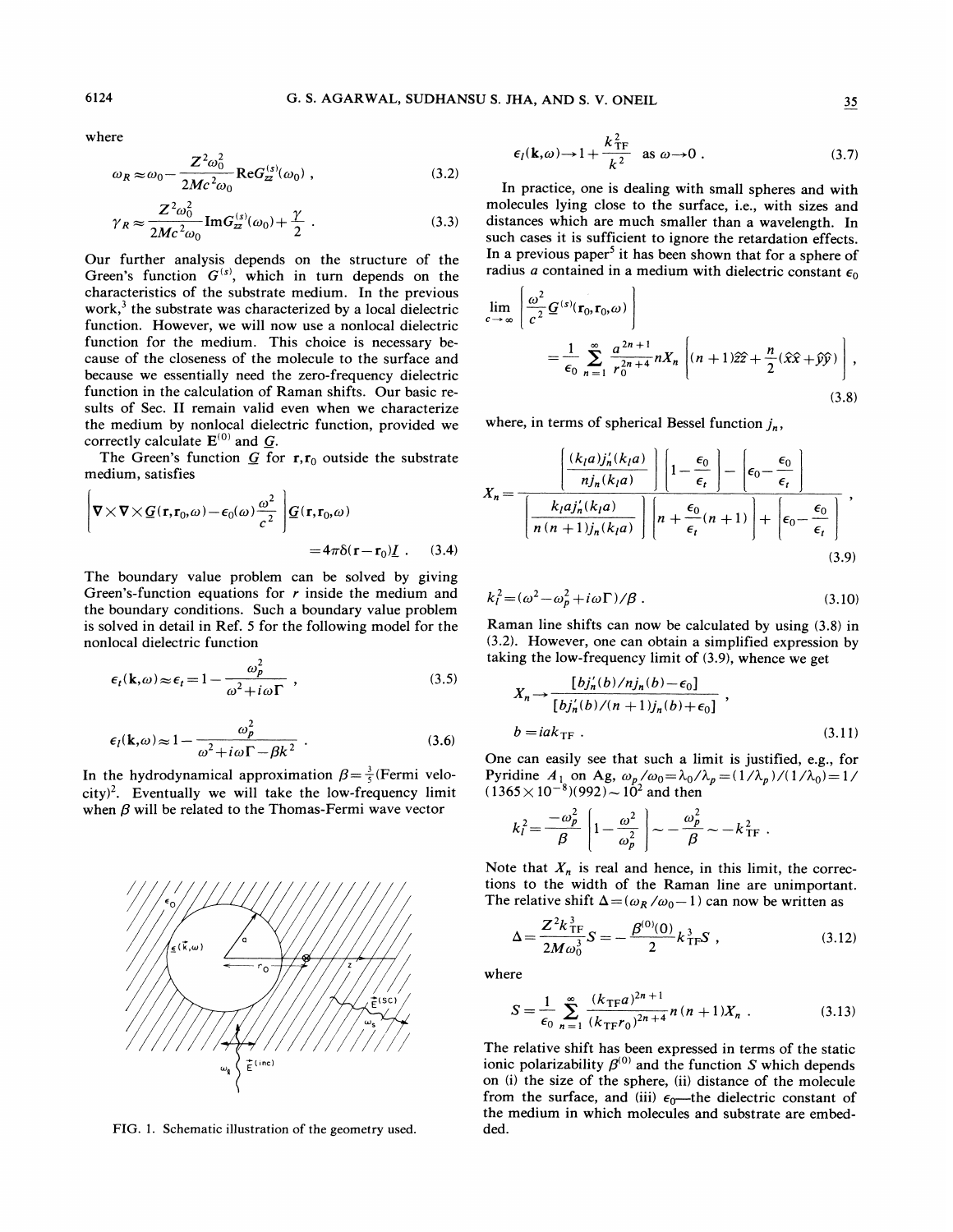where

$$
\omega_R \approx \omega_0 - \frac{Z^2 \omega_0^2}{2Mc^2 \omega_0} \text{Re} G_{zz}^{(s)}(\omega_0) , \qquad (3.2)
$$

$$
\gamma_R \approx \frac{Z^2 \omega_0^2}{2Mc^2 \omega_0} \text{Im} G_{zz}^{(s)}(\omega_0) + \frac{\gamma}{2} \ . \tag{3.3}
$$

Our further analysis depends on the structure of the Green's function  $G^{(s)}$ , which in turn depends on the characteristics of the substrate medium. In the previous work, $3$  the substrate was characterized by a local dielectric function. However, we will now use a nonlocal dielectric function for the medium. This choice is necessary because of the closeness of the molecule to the surface and because we essentially need the zero-frequency dielectric function in the calculation of Raman shifts. Our basic re suits of Sec. II remain valid even when we characterize the medium by nonlocal dielectric function, provided we correctly calculate  $\mathbf{E}^{(0)}$  and  $\mathbf{G}$ .

The Green's function  $G$  for  $r, r_0$  outside the substrate medium, satisfies

$$
\left| \nabla \times \nabla \times \underline{G}(\mathbf{r}, \mathbf{r}_0, \omega) - \epsilon_0(\omega) \frac{\omega^2}{c^2} \right| \underline{G}(\mathbf{r}, \mathbf{r}_0, \omega) \n= 4\pi \delta(\mathbf{r} - \mathbf{r}_0) \underline{I} \ . \tag{3.4}
$$

The boundary value problem can be solved by giving Green's-function equations for  $r$  inside the medium and the boundary conditions. Such a boundary value problem is solved in detail in Ref. 5 for the following model for the nonlocal dielectric function

$$
\epsilon_t(\mathbf{k}, \omega) \approx \epsilon_t = 1 - \frac{\omega_p^2}{\omega^2 + i\omega \Gamma} , \qquad (3.5)
$$

$$
\epsilon_l(\mathbf{k},\omega) \approx 1 - \frac{\omega_p^2}{\omega^2 + i\omega \Gamma - \beta k^2} \ . \tag{3.6}
$$

In the hydrodynamical approximation  $\beta = \frac{3}{5}$  (Fermi velo $city)^2$ . Eventually we will take the low-frequency limit when  $\beta$  will be related to the Thomas-Fermi wave vector



FIG. 1. Schematic illustration of the geometry used.

$$
\epsilon_l(\mathbf{k},\omega) \to 1 + \frac{k_{\text{TF}}^2}{k^2}
$$
 as  $\omega \to 0$ . (3.7)

In practice, one is dealing with small spheres and with molecules lying close to the surface, i.e., with sizes and distances which are much smaller than a wavelength. In such cases it is sufficient to ignore the retardation effects. In a previous paper<sup>5</sup> it has been shown that for a sphere of radius a contained in a medium with dielectric constant  $\epsilon_0$ 

$$
\lim_{n \to \infty} \left[ \frac{\omega^2}{c^2} \mathcal{G}^{(s)}(\mathbf{r}_0, \mathbf{r}_0, \omega) \right]
$$
\n
$$
= \frac{1}{\epsilon_0} \sum_{n=1}^{\infty} \frac{a^{2n+1}}{r_0^{2n+4}} n X_n \left[ (n+1) \hat{z} \hat{z} + \frac{n}{2} (\hat{x} \hat{x} + \hat{y} \hat{y}) \right],
$$
\n(3.8)

where, in terms of spherical Bessel function  $j_n$ ,

$$
X_n = \frac{\left[\frac{(k_l a)j'_n(k_l a)}{nj_n(k_l a)}\right] \left[1 - \frac{\epsilon_0}{\epsilon_t}\right] - \left[\epsilon_0 - \frac{\epsilon_0}{\epsilon_t}\right]}{\left[\frac{k_l a j'_n(k_l a)}{n (n+1)j_n(k_l a)}\right] \left[n + \frac{\epsilon_0}{\epsilon_t}(n+1)\right] + \left[\epsilon_0 - \frac{\epsilon_0}{\epsilon_t}\right]},
$$
\n(3.9)

$$
k_l^2 = (\omega^2 - \omega_p^2 + i\omega \Gamma)/\beta.
$$
 (3.10)

Raman line shifts can now be calculated by using (3.8) in (3.2). However, one can obtain a simplified expression by taking the low-frequency limit of (3.9), whence we get

$$
X_n \to \frac{[bj'_n(b)/nj_n(b) - \epsilon_0]}{[bj'_n(b)/(n+1)j_n(b) + \epsilon_0]},
$$
  

$$
b = iak_{\text{TF}}.
$$
 (3.11)

One can easily see that such a limit is justified, e.g., for Pyridine  $A_1$  on Ag,  $\omega_p/\omega_0 = \lambda_0/\lambda_p = (1/\lambda_p)/(1/\lambda_0) = 1365 \times 10^{-8}$  (992)  $\sim 10^2$  and then

$$
k_l^2 = \frac{-\omega_p^2}{\beta} \left[ 1 - \frac{\omega^2}{\omega_p^2} \right] \sim -\frac{\omega_p^2}{\beta} \sim -k_{\text{TF}}^2
$$

Note that  $X_n$  is real and hence, in this limit, the corrections to the width of the Raman line are unimportant. The relative shift  $\Delta = (\omega_R / \omega_0 - 1)$  can now be written as

$$
\Delta = \frac{Z^2 k_{\rm TF}^3}{2M\omega_0^3} S = -\frac{\beta^{(0)}(0)}{2} k_{\rm TF}^3 S \tag{3.12}
$$

where

$$
S = \frac{1}{\epsilon_0} \sum_{n=1}^{\infty} \frac{(k_{\text{TF}} a)^{2n+1}}{(k_{\text{TF}} r_0)^{2n+4}} n(n+1) X_n . \tag{3.13}
$$

The relative shift has been expressed in terms of the static onic polarizability  $\beta^{(0)}$  and the function S which depends on (i) the size of the sphere, (ii) distance of the molecule from the surface, and (iii)  $\epsilon_0$ —the dielectric constant of the medium in which molecules and substrate are embedded.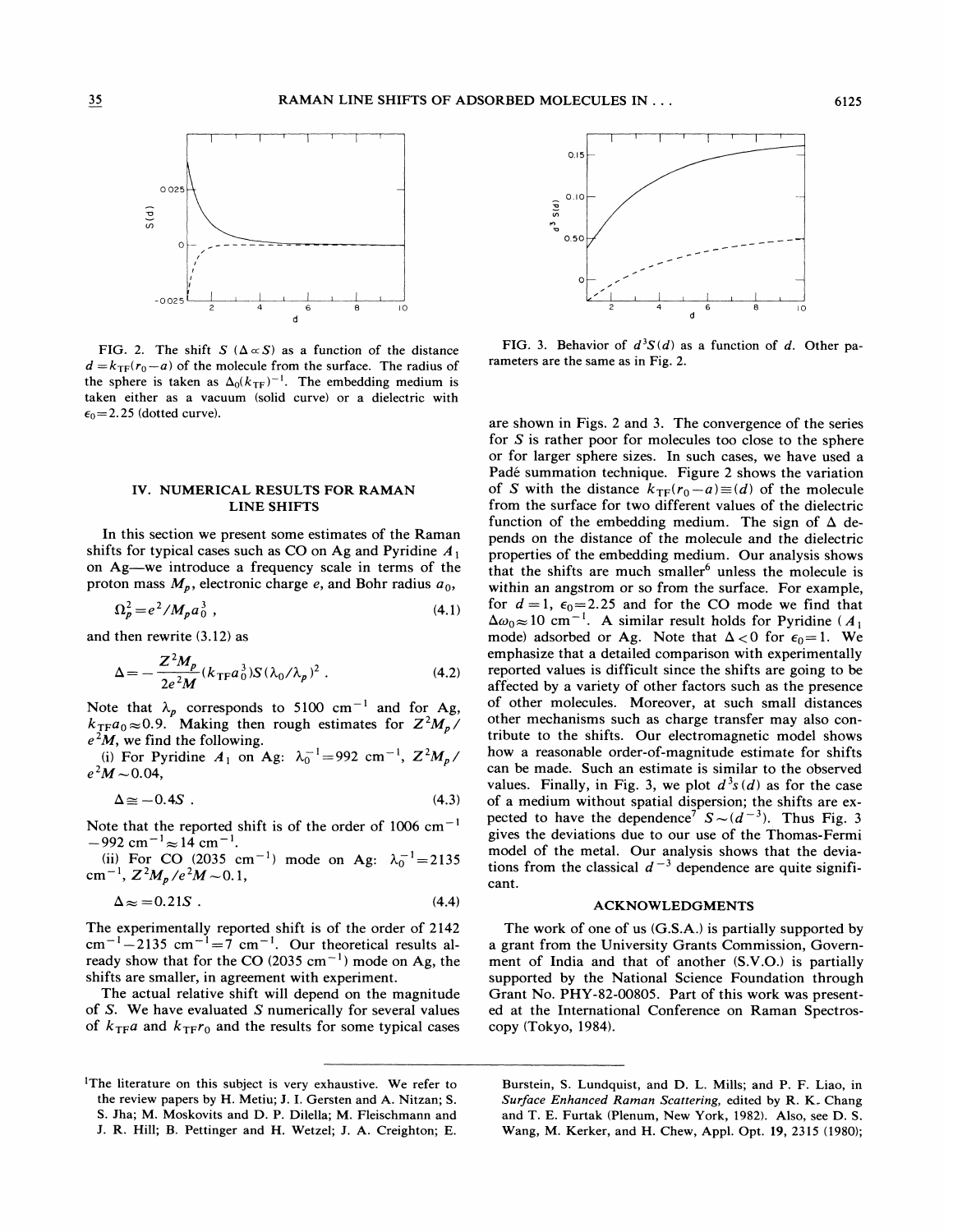

FIG. 2. The shift  $S(\Delta \propto S)$  as a function of the distance  $d = k_{\text{TF}}(r_0 - a)$  of the molecule from the surface. The radius of the sphere is taken as  $\Delta_0(k_{\text{TF}})^{-1}$ . The embedding medium is taken either as a vacuum (solid curve) or a dielectric with  $\epsilon_0$  = 2.25 (dotted curve).

#### IV. NUMERICAL RESULTS FOR RAMAN LINE SHIFTS

In this section we present some estimates of the Raman shifts for typical cases such as CO on Ag and Pyridine  $A_1$ on Ag—we introduce <sup>a</sup> frequency scale in terms of the proton mass  $M_p$ , electronic charge e, and Bohr radius  $a_0$ ,

$$
\Omega_p^2 = e^2 / M_p a_0^3 \tag{4.1}
$$

and then rewrite (3.12) as

$$
\Delta = -\frac{Z^2 M_p}{2e^2 M} (k_{\text{TF}} a_0^3) S (\lambda_0 / \lambda_p)^2 \,. \tag{4.2}
$$

Note that  $\lambda_p$  corresponds to 5100 cm<sup>-1</sup> and for Ag,  $k_{\text{TF}}a_0\approx 0.9$ . Making then rough estimates for  $Z^2M_p/\gamma$  $e<sup>2</sup>M$ , we find the following.

(i) For Pyridine  $A_1$  on Ag:  $\lambda_0^{-1} = 992$  cm<sup>-1</sup>,  $Z^2 M_p$ /  $e^2 M \sim 0.04$ ,

$$
\Delta \cong -0.4S \tag{4.3}
$$

Note that the reported shift is of the order of 1006 cm<sup>-1</sup><br>-992 cm<sup>-1</sup> $\approx$  14 cm<sup>-1</sup>.

(ii) For CO (2035 cm<sup>-1</sup>) mode on Ag:  $\lambda_0^{-1} = 2135$ cm<sup>-1</sup>,  $Z^2M_p/e^2M \sim 0.1$ ,

$$
\Delta \approx =0.21S \tag{4.4}
$$

The experimentally reported shift is of the order of 2142  $cm^{-1}$  – 2135 cm<sup>-1</sup> = 7 cm<sup>-1</sup>. Our theoretical results already show that for the CO (2035 cm<sup> $-1$ </sup>) mode on Ag, the shifts are smaller, in agreement with experiment.

The actual relative shift will depend on the magnitude of S. We have evaluated S numerically for several values of  $k_{\text{TF}}a$  and  $k_{\text{TF}}r_0$  and the results for some typical cases



FIG. 3. Behavior of  $d^3S(d)$  as a function of d. Other parameters are the same as in Fig. 2.

are shown in Figs. 2 and 3. The convergence of the series for S is rather poor for molecules too close to the sphere or for larger sphere sizes. In such cases, we have used a Padé summation technique. Figure 2 shows the variation of S with the distance  $k_{\text{TF}}(r_0 - a) \equiv (d)$  of the molecule from the surface for two different values of the dielectric function of the embedding medium. The sign of  $\Delta$  depends on the distance of the molecule and the dielectric properties of the embedding medium. Our analysis shows that the shifts are much smaller<sup>6</sup> unless the molecule is within an angstrom or so from the surface. For example, for  $d = 1$ ,  $\epsilon_0 = 2.25$  and for the CO mode we find that  $\Delta\omega_0 \approx 10 \text{ cm}^{-1}$ . A similar result holds for Pyridine ( $A_1$  node) adsorbed or Ag. Note that  $\Delta < 0$  for  $\epsilon_0 = 1$ . We emphasize that a detailed comparison with experimentally reported values is difficult since the shifts are going to be affected by a variety of other factors such as the presence of other molecules. Moreover, at such small distances other mechanisms such as charge transfer may also contribute to the shifts. Our electromagnetic model shows how a reasonable order-of-magnitude estimate for shifts can be made. Such an estimate is similar to the observed values. Finally, in Fig. 3, we plot  $d^3s(d)$  as for the case of a medium without spatial dispersion; the shifts are expected to have the dependence<sup>7</sup>  $S \sim (d^{-3})$ . Thus Fig. 3 gives the deviations due to our use of the Thomas-Fermi model of the metal. Our analysis shows that the deviations from the classical  $d^{-3}$  dependence are quite significant.

#### **ACKNOWLEDGMENTS**

The work of one of us (G.S.A.) is partially supported by a grant from the University Grants Commission, Government of India and that of another (S.V.O.) is partially supported by the National Science Foundation through Grant No. PHY-82-00805. Part of this work was presented at the International Conference on Raman Spectroscopy (Tokyo, 1984).

Burstein, S. Lundquist, and D. L. Mills; and P. F. Liao, in Surface Enhanced Raman Scattering, edited by R. K. Chang and T. E. Furtak (Plenum, New York, 1982). Also, see D. S. Wang, M. Kerker, and H. Chew, Appl. Opt. 19, 2315 (1980);

<sup>&#</sup>x27;The literature on this subject is very exhaustive. We refer to the review papers by H. Metiu; J. I. Gersten and A. Nitzan; S. S. Jha; M. Moskovits and D. P. Dilella; M. Fleischmann and J. R. Hill; B. Pettinger and H. Wetzel; J. A. Creighton; E.